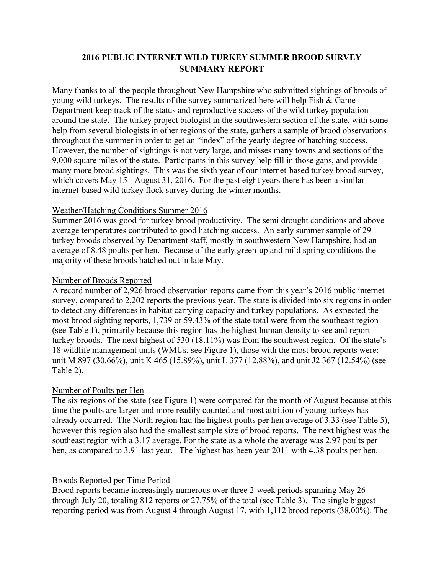### **2016 PUBLIC INTERNET WILD TURKEY SUMMER BROOD SURVEY SUMMARY REPORT**

Many thanks to all the people throughout New Hampshire who submitted sightings of broods of young wild turkeys. The results of the survey summarized here will help Fish & Game Department keep track of the status and reproductive success of the wild turkey population around the state. The turkey project biologist in the southwestern section of the state, with some help from several biologists in other regions of the state, gathers a sample of brood observations throughout the summer in order to get an "index" of the yearly degree of hatching success. However, the number of sightings is not very large, and misses many towns and sections of the 9,000 square miles of the state. Participants in this survey help fill in those gaps, and provide many more brood sightings. This was the sixth year of our internet-based turkey brood survey, which covers May 15 - August 31, 2016. For the past eight years there has been a similar internet-based wild turkey flock survey during the winter months.

#### Weather/Hatching Conditions Summer 2016

Summer 2016 was good for turkey brood productivity. The semi drought conditions and above average temperatures contributed to good hatching success. An early summer sample of 29 turkey broods observed by Department staff, mostly in southwestern New Hampshire, had an average of 8.48 poults per hen. Because of the early green-up and mild spring conditions the majority of these broods hatched out in late May.

### Number of Broods Reported

A record number of 2,926 brood observation reports came from this year's 2016 public internet survey, compared to 2,202 reports the previous year. The state is divided into six regions in order to detect any differences in habitat carrying capacity and turkey populations. As expected the most brood sighting reports, 1,739 or 59.43% of the state total were from the southeast region (see Table 1), primarily because this region has the highest human density to see and report turkey broods. The next highest of 530 (18.11%) was from the southwest region. Of the state's 18 wildlife management units (WMUs, see Figure 1), those with the most brood reports were: unit M 897 (30.66%), unit K 465 (15.89%), unit L 377 (12.88%), and unit J2 367 (12.54%) (see Table 2).

### Number of Poults per Hen

The six regions of the state (see Figure 1) were compared for the month of August because at this time the poults are larger and more readily counted and most attrition of young turkeys has already occurred. The North region had the highest poults per hen average of 3.33 (see Table 5), however this region also had the smallest sample size of brood reports. The next highest was the southeast region with a 3.17 average. For the state as a whole the average was 2.97 poults per hen, as compared to 3.91 last year. The highest has been year 2011 with 4.38 poults per hen.

### Broods Reported per Time Period

Brood reports became increasingly numerous over three 2-week periods spanning May 26 through July 20, totaling 812 reports or 27.75% of the total (see Table 3). The single biggest reporting period was from August 4 through August 17, with 1,112 brood reports (38.00%). The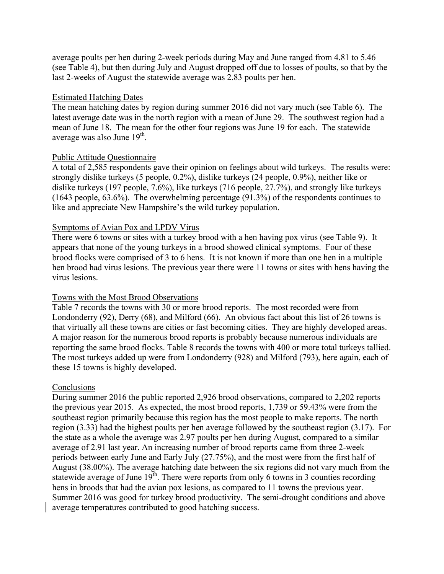average poults per hen during 2-week periods during May and June ranged from 4.81 to 5.46 (see Table 4), but then during July and August dropped off due to losses of poults, so that by the last 2-weeks of August the statewide average was 2.83 poults per hen.

#### Estimated Hatching Dates

The mean hatching dates by region during summer 2016 did not vary much (see Table 6). The latest average date was in the north region with a mean of June 29. The southwest region had a mean of June 18. The mean for the other four regions was June 19 for each. The statewide average was also June  $19<sup>th</sup>$ .

#### Public Attitude Questionnaire

A total of 2,585 respondents gave their opinion on feelings about wild turkeys. The results were: strongly dislike turkeys (5 people, 0.2%), dislike turkeys (24 people, 0.9%), neither like or dislike turkeys (197 people, 7.6%), like turkeys (716 people, 27.7%), and strongly like turkeys (1643 people, 63.6%). The overwhelming percentage (91.3%) of the respondents continues to like and appreciate New Hampshire's the wild turkey population.

#### Symptoms of Avian Pox and LPDV Virus

There were 6 towns or sites with a turkey brood with a hen having pox virus (see Table 9). It appears that none of the young turkeys in a brood showed clinical symptoms. Four of these brood flocks were comprised of 3 to 6 hens. It is not known if more than one hen in a multiple hen brood had virus lesions. The previous year there were 11 towns or sites with hens having the virus lesions.

#### Towns with the Most Brood Observations

Table 7 records the towns with 30 or more brood reports. The most recorded were from Londonderry (92), Derry (68), and Milford (66). An obvious fact about this list of 26 towns is that virtually all these towns are cities or fast becoming cities. They are highly developed areas. A major reason for the numerous brood reports is probably because numerous individuals are reporting the same brood flocks. Table 8 records the towns with 400 or more total turkeys tallied. The most turkeys added up were from Londonderry (928) and Milford (793), here again, each of these 15 towns is highly developed.

#### Conclusions

During summer 2016 the public reported 2,926 brood observations, compared to 2,202 reports the previous year 2015. As expected, the most brood reports, 1,739 or 59.43% were from the southeast region primarily because this region has the most people to make reports. The north region (3.33) had the highest poults per hen average followed by the southeast region (3.17). For the state as a whole the average was 2.97 poults per hen during August, compared to a similar average of 2.91 last year. An increasing number of brood reports came from three 2-week periods between early June and Early July (27.75%), and the most were from the first half of August (38.00%). The average hatching date between the six regions did not vary much from the statewide average of June  $19<sup>th</sup>$ . There were reports from only 6 towns in 3 counties recording hens in broods that had the avian pox lesions, as compared to 11 towns the previous year. Summer 2016 was good for turkey brood productivity. The semi-drought conditions and above average temperatures contributed to good hatching success.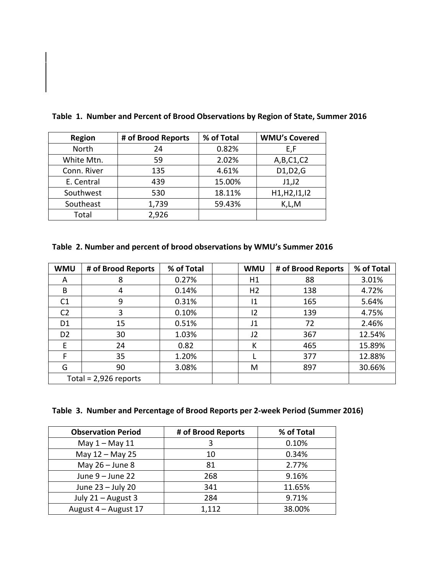| <b>Region</b> | # of Brood Reports | % of Total | <b>WMU's Covered</b> |
|---------------|--------------------|------------|----------------------|
| North         | 24                 | 0.82%      | E,F                  |
| White Mtn.    | 59                 | 2.02%      | A,B,C1,C2            |
| Conn. River   | 135                | 4.61%      | D1, D2, G            |
| E. Central    | 439                | 15.00%     | J1,J2                |
| Southwest     | 530                | 18.11%     | H1, H2, 11, 12       |
| Southeast     | 1,739              | 59.43%     | K,L,M                |
| Total         | 2,926              |            |                      |

**Table 1. Number and Percent of Brood Observations by Region of State, Summer 2016** 

# **Table 2. Number and percent of brood observations by WMU's Summer 2016**

| <b>WMU</b>     | # of Brood Reports      | % of Total | <b>WMU</b>     | # of Brood Reports | % of Total |
|----------------|-------------------------|------------|----------------|--------------------|------------|
| A              | 8                       | 0.27%      | H1             | 88                 | 3.01%      |
| B              | 4                       | 0.14%      | H <sub>2</sub> | 138                | 4.72%      |
| C <sub>1</sub> | 9                       | 0.31%      | 11             | 165                | 5.64%      |
| C <sub>2</sub> | 3                       | 0.10%      | 12             | 139                | 4.75%      |
| D1             | 15                      | 0.51%      | J1             | 72                 | 2.46%      |
| D <sub>2</sub> | 30                      | 1.03%      | J2             | 367                | 12.54%     |
| E              | 24                      | 0.82       | К              | 465                | 15.89%     |
| F              | 35                      | 1.20%      |                | 377                | 12.88%     |
| G              | 90                      | 3.08%      | M              | 897                | 30.66%     |
|                | Total = $2,926$ reports |            |                |                    |            |

|  |  | Table 3. Number and Percentage of Brood Reports per 2-week Period (Summer 2016) |  |  |  |  |
|--|--|---------------------------------------------------------------------------------|--|--|--|--|
|--|--|---------------------------------------------------------------------------------|--|--|--|--|

| <b>Observation Period</b> | # of Brood Reports | % of Total |
|---------------------------|--------------------|------------|
| May $1 -$ May 11          | 3                  | 0.10%      |
| May 12 - May 25           | 10                 | 0.34%      |
| May $26 -$ June 8         | 81                 | 2.77%      |
| June $9 -$ June 22        | 268                | 9.16%      |
| June 23 - July 20         | 341                | 11.65%     |
| July 21 - August 3        | 284                | 9.71%      |
| August 4 - August 17      | 1,112              | 38.00%     |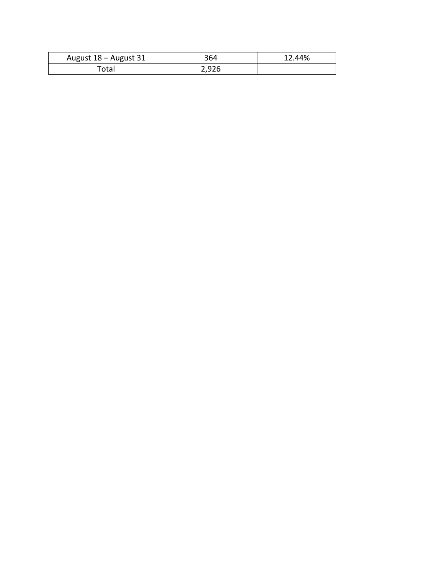| August 18 - August 31 | 364   | 12.44% |
|-----------------------|-------|--------|
| otal                  | 2,926 |        |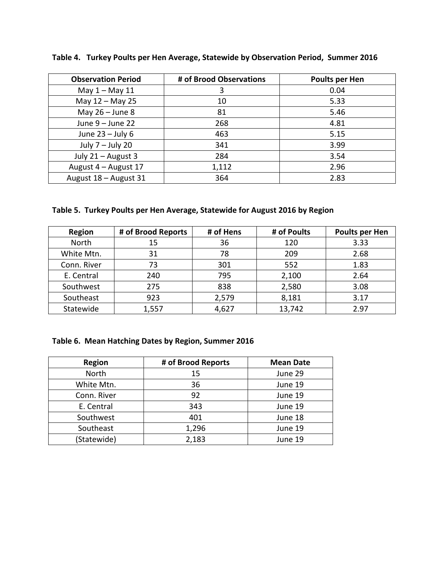| <b>Observation Period</b> | # of Brood Observations | Poults per Hen |
|---------------------------|-------------------------|----------------|
| May $1 -$ May $11$        | 3                       | 0.04           |
| May 12 - May 25           | 10                      | 5.33           |
| May $26 -$ June 8         | 81                      | 5.46           |
| June $9 -$ June 22        | 268                     | 4.81           |
| June $23 -$ July 6        | 463                     | 5.15           |
| July $7 -$ July 20        | 341                     | 3.99           |
| July 21 - August 3        | 284                     | 3.54           |
| August 4 - August 17      | 1,112                   | 2.96           |
| August 18 - August 31     | 364                     | 2.83           |

**Table 4. Turkey Poults per Hen Average, Statewide by Observation Period, Summer 2016** 

# **Table 5. Turkey Poults per Hen Average, Statewide for August 2016 by Region**

| <b>Region</b> | # of Brood Reports | # of Hens | # of Poults | Poults per Hen |
|---------------|--------------------|-----------|-------------|----------------|
| North         | 15                 | 36        | 120         | 3.33           |
| White Mtn.    | 31                 | 78        | 209         | 2.68           |
| Conn. River   | 73                 | 301       | 552         | 1.83           |
| E. Central    | 240                | 795       | 2,100       | 2.64           |
| Southwest     | 275                | 838       | 2,580       | 3.08           |
| Southeast     | 923                | 2,579     | 8,181       | 3.17           |
| Statewide     | 1,557              | 4,627     | 13,742      | 2.97           |

# **Table 6. Mean Hatching Dates by Region, Summer 2016**

| <b>Region</b> | # of Brood Reports | <b>Mean Date</b> |
|---------------|--------------------|------------------|
| North         | 15                 | June 29          |
| White Mtn.    | 36                 | June 19          |
| Conn. River   | 92                 | June 19          |
| E. Central    | 343                | June 19          |
| Southwest     | 401                | June 18          |
| Southeast     | 1,296              | June 19          |
| (Statewide)   | 2,183              | June 19          |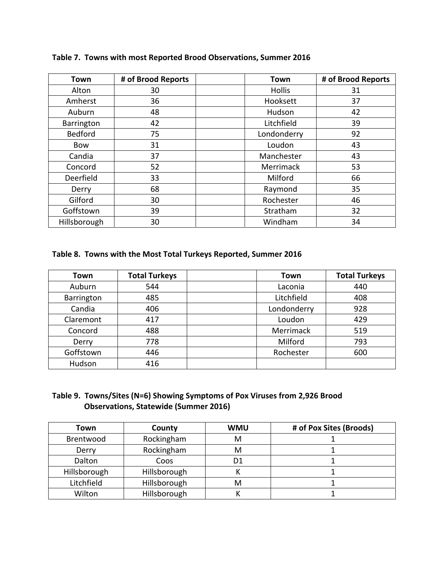| Town           | # of Brood Reports | Town          | # of Brood Reports |
|----------------|--------------------|---------------|--------------------|
| Alton          | 30                 | <b>Hollis</b> | 31                 |
| Amherst        | 36                 | Hooksett      | 37                 |
| Auburn         | 48                 | Hudson        | 42                 |
| Barrington     | 42                 | Litchfield    | 39                 |
| <b>Bedford</b> | 75                 | Londonderry   | 92                 |
| Bow            | 31                 | Loudon        | 43                 |
| Candia         | 37                 | Manchester    | 43                 |
| Concord        | 52                 | Merrimack     | 53                 |
| Deerfield      | 33                 | Milford       | 66                 |
| Derry          | 68                 | Raymond       | 35                 |
| Gilford        | 30                 | Rochester     | 46                 |
| Goffstown      | 39                 | Stratham      | 32                 |
| Hillsborough   | 30                 | Windham       | 34                 |

**Table 7. Towns with most Reported Brood Observations, Summer 2016** 

### **Table 8. Towns with the Most Total Turkeys Reported, Summer 2016**

| Town       | <b>Total Turkeys</b> | Town        | <b>Total Turkeys</b> |
|------------|----------------------|-------------|----------------------|
| Auburn     | 544                  | Laconia     | 440                  |
| Barrington | 485                  | Litchfield  | 408                  |
| Candia     | 406                  | Londonderry | 928                  |
| Claremont  | 417                  | Loudon      | 429                  |
| Concord    | 488                  | Merrimack   | 519                  |
| Derry      | 778                  | Milford     | 793                  |
| Goffstown  | 446                  | Rochester   | 600                  |
| Hudson     | 416                  |             |                      |

## **Table 9. Towns/Sites (N=6) Showing Symptoms of Pox Viruses from 2,926 Brood Observations, Statewide (Summer 2016)**

| Town         | County       | <b>WMU</b> | # of Pox Sites (Broods) |
|--------------|--------------|------------|-------------------------|
| Brentwood    | Rockingham   | м          |                         |
| Derry        | Rockingham   | м          |                         |
| Dalton       | Coos         | D1         |                         |
| Hillsborough | Hillsborough |            |                         |
| Litchfield   | Hillsborough | M          |                         |
| Wilton       | Hillsborough |            |                         |